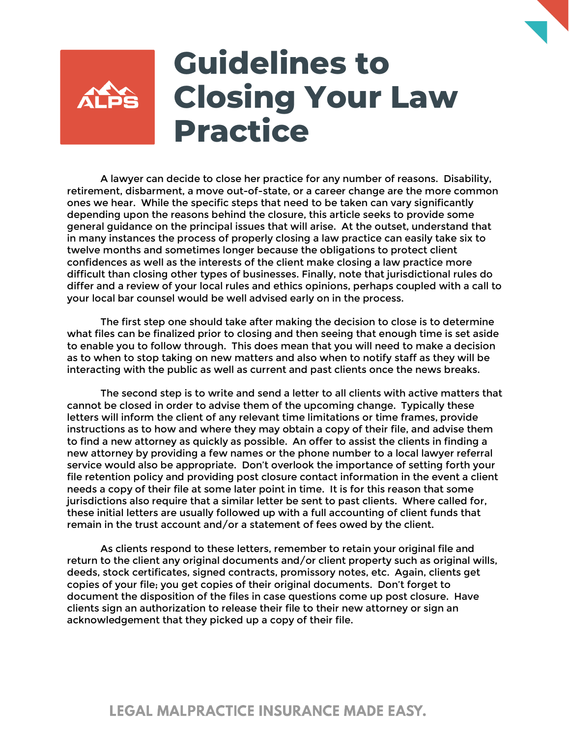

## **Guidelines to Closing Your Law Practice**

A lawyer can decide to close her practice for any number of reasons. Disability, retirement, disbarment, a move out-of-state, or a career change are the more common ones we hear. While the specific steps that need to be taken can vary significantly depending upon the reasons behind the closure, this article seeks to provide some general guidance on the principal issues that will arise. At the outset, understand that in many instances the process of properly closing a law practice can easily take six to twelve months and sometimes longer because the obligations to protect client confidences as well as the interests of the client make closing a law practice more difficult than closing other types of businesses. Finally, note that jurisdictional rules do differ and a review of your local rules and ethics opinions, perhaps coupled with a call to your local bar counsel would be well advised early on in the process.

The first step one should take after making the decision to close is to determine what files can be finalized prior to closing and then seeing that enough time is set aside to enable you to follow through. This does mean that you will need to make a decision as to when to stop taking on new matters and also when to notify staff as they will be interacting with the public as well as current and past clients once the news breaks.

The second step is to write and send a letter to all clients with active matters that cannot be closed in order to advise them of the upcoming change. Typically these letters will inform the client of any relevant time limitations or time frames, provide instructions as to how and where they may obtain a copy of their file, and advise them to find a new attorney as quickly as possible. An offer to assist the clients in finding a new attorney by providing a few names or the phone number to a local lawyer referral service would also be appropriate. Don't overlook the importance of setting forth your file retention policy and providing post closure contact information in the event a client needs a copy of their file at some later point in time. It is for this reason that some jurisdictions also require that a similar letter be sent to past clients. Where called for, these initial letters are usually followed up with a full accounting of client funds that remain in the trust account and/or a statement of fees owed by the client.

As clients respond to these letters, remember to retain your original file and return to the client any original documents and/or client property such as original wills, deeds, stock certificates, signed contracts, promissory notes, etc. Again, clients get copies of your file; you get copies of their original documents. Don't forget to document the disposition of the files in case questions come up post closure. Have clients sign an authorization to release their file to their new attorney or sign an acknowledgement that they picked up a copy of their file.